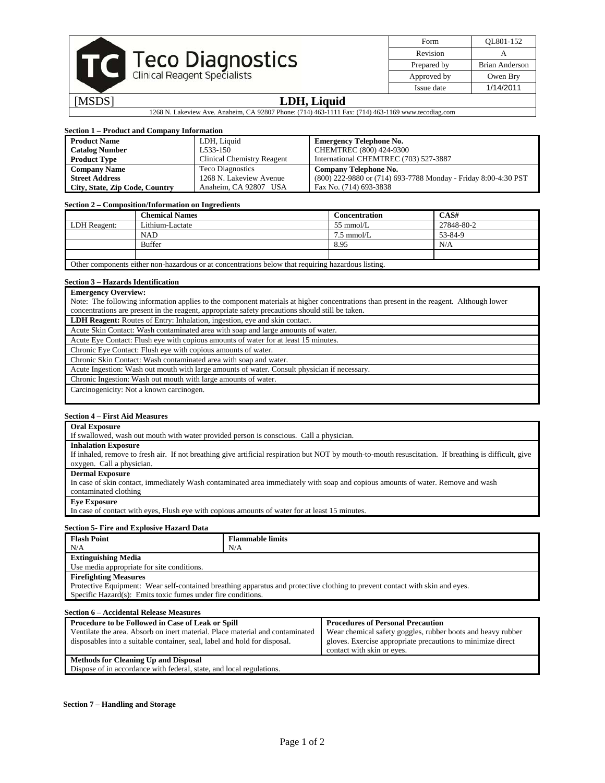

| Form        | OL801-152      |
|-------------|----------------|
| Revision    |                |
| Prepared by | Brian Anderson |
| Approved by | Owen Bry       |
| Issue date  | 1/14/2011      |

## [MSDS] **LDH, Liquid**

1268 N. Lakeview Ave. Anaheim, CA 92807 Phone: (714) 463-1111 Fax: (714) 463-1169 www.tecodiag.com

# **Section 1 – Product and Company Information**

| <b>Product Name</b>            | LDH, Liquid                       | <b>Emergency Telephone No.</b>                                 |
|--------------------------------|-----------------------------------|----------------------------------------------------------------|
| <b>Catalog Number</b>          | L533-150                          | CHEMTREC (800) 424-9300                                        |
| <b>Product Type</b>            | <b>Clinical Chemistry Reagent</b> | International CHEMTREC (703) 527-3887                          |
| <b>Company Name</b>            | <b>Teco Diagnostics</b>           | Company Telephone No.                                          |
| <b>Street Address</b>          | 1268 N. Lakeview Avenue           | (800) 222-9880 or (714) 693-7788 Monday - Friday 8:00-4:30 PST |
| City, State, Zip Code, Country | Anaheim, CA 92807 USA             | Fax No. (714) 693-3838                                         |

#### **Section 2 – Composition/Information on Ingredients**

|              | <b>Chemical Names</b>                                                                              | <b>Concentration</b> | CAS#       |
|--------------|----------------------------------------------------------------------------------------------------|----------------------|------------|
| LDH Reagent: | Lithium-Lactate                                                                                    | $55 \text{ mmol/L}$  | 27848-80-2 |
|              | <b>NAD</b>                                                                                         | $7.5 \text{ mmol/L}$ | 53-84-9    |
|              | <b>Buffer</b>                                                                                      | 8.95                 | N/A        |
|              |                                                                                                    |                      |            |
|              | Other components either non-hazardous or at concentrations below that requiring hazardous listing. |                      |            |

## **Section 3 – Hazards Identification**

| <b>Emergency Overview:</b>                                                                                                              |
|-----------------------------------------------------------------------------------------------------------------------------------------|
| Note: The following information applies to the component materials at higher concentrations than present in the reagent. Although lower |
| concentrations are present in the reagent, appropriate safety precautions should still be taken.                                        |
| <b>LDH Reagent:</b> Routes of Entry: Inhalation, ingestion, eye and skin contact.                                                       |
| Acute Skin Contact: Wash contaminated area with soap and large amounts of water.                                                        |
| Acute Eye Contact: Flush eye with copious amounts of water for at least 15 minutes.                                                     |
| Chronic Eye Contact: Flush eye with copious amounts of water.                                                                           |
|                                                                                                                                         |

Chronic Skin Contact: Wash contaminated area with soap and water.

Acute Ingestion: Wash out mouth with large amounts of water. Consult physician if necessary.

Chronic Ingestion: Wash out mouth with large amounts of water.

Carcinogenicity: Not a known carcinogen.

### **Section 4 – First Aid Measures**

| <b>Oral Exposure</b>                                                                                                                                   |
|--------------------------------------------------------------------------------------------------------------------------------------------------------|
| If swallowed, wash out mouth with water provided person is conscious. Call a physician.                                                                |
| <b>Inhalation Exposure</b>                                                                                                                             |
| If inhaled, remove to fresh air. If not breathing give artificial respiration but NOT by mouth-to-mouth resuscitation. If breathing is difficult, give |
| oxygen. Call a physician.                                                                                                                              |
| <b>Dermal Exposure</b>                                                                                                                                 |
| In case of skin contact, immediately Wash contaminated area immediately with soap and copious amounts of water. Remove and wash                        |
| contaminated clothing                                                                                                                                  |
| <b>Eve Exposure</b>                                                                                                                                    |
| In case of contact with eyes, Flush eye with copious amounts of water for at least 15 minutes.                                                         |

#### **Section 5- Fire and Explosive Hazard Data**

| <b>Flash Point</b>                                                                                                           | <b>Flammable limits</b> |  |
|------------------------------------------------------------------------------------------------------------------------------|-------------------------|--|
| N/A                                                                                                                          | N/A                     |  |
| <b>Extinguishing Media</b>                                                                                                   |                         |  |
| Use media appropriate for site conditions.                                                                                   |                         |  |
| <b>Firefighting Measures</b>                                                                                                 |                         |  |
| Protective Equipment: Wear self-contained breathing apparatus and protective clothing to prevent contact with skin and eyes. |                         |  |
| Specific Hazard(s): Emits toxic fumes under fire conditions.                                                                 |                         |  |
|                                                                                                                              |                         |  |
| Section 6 - Accidental Release Measures                                                                                      |                         |  |

| Section 0 – Accidental Release Measures                                       |                                                             |  |  |
|-------------------------------------------------------------------------------|-------------------------------------------------------------|--|--|
| Procedure to be Followed in Case of Leak or Spill                             | <b>Procedures of Personal Precaution</b>                    |  |  |
| Ventilate the area. Absorb on inert material. Place material and contaminated | Wear chemical safety goggles, rubber boots and heavy rubber |  |  |
| disposables into a suitable container, seal, label and hold for disposal.     | gloves. Exercise appropriate precautions to minimize direct |  |  |
|                                                                               | contact with skin or eyes.                                  |  |  |
| <b>Methods for Cleaning Up and Disposal</b>                                   |                                                             |  |  |
| Dispose of in accordance with federal, state, and local regulations.          |                                                             |  |  |